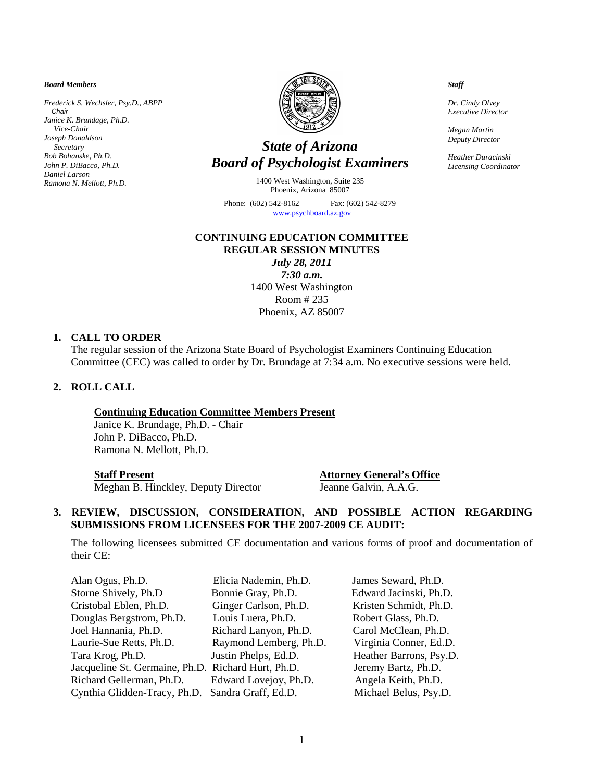*Board Members*

*Frederick S. Wechsler, Psy.D., ABPP Chair Janice K. Brundage, Ph.D. Vice-Chair Joseph Donaldson Secretary Bob Bohanske, Ph.D. John P. DiBacco, Ph.D. Daniel Larson Ramona N. Mellott, Ph.D.*



# *State of Arizona Board of Psychologist Examiners*

1400 West Washington, Suite 235 Phoenix, Arizona 85007

Phone: (602) 542-8162 Fax: (602) 542-8279  [www.psychboard.az.gov](http://www.psychboard.az.gov/) 

### **CONTINUING EDUCATION COMMITTEE REGULAR SESSION MINUTES**

*July 28, 2011 7:30 a.m.* 1400 West Washington Room # 235 Phoenix, AZ 85007

### **1. CALL TO ORDER**

The regular session of the Arizona State Board of Psychologist Examiners Continuing Education Committee (CEC) was called to order by Dr. Brundage at 7:34 a.m. No executive sessions were held.

### **2. ROLL CALL**

### **Continuing Education Committee Members Present**

Janice K. Brundage, Ph.D. - Chair John P. DiBacco, Ph.D. Ramona N. Mellott, Ph.D.

Meghan B. Hinckley, Deputy Director Jeanne Galvin, A.A.G.

 **Staff Present Attorney General's Office**

## **3. REVIEW, DISCUSSION, CONSIDERATION, AND POSSIBLE ACTION REGARDING SUBMISSIONS FROM LICENSEES FOR THE 2007-2009 CE AUDIT:**

The following licensees submitted CE documentation and various forms of proof and documentation of their CE:

| Alan Ogus, Ph.D.                                   | Elicia Nademin, Ph.D.  | James Seward, Ph.D.     |
|----------------------------------------------------|------------------------|-------------------------|
| Storne Shively, Ph.D                               | Bonnie Gray, Ph.D.     | Edward Jacinski, Ph.D.  |
| Cristobal Eblen, Ph.D.                             | Ginger Carlson, Ph.D.  | Kristen Schmidt, Ph.D.  |
| Douglas Bergstrom, Ph.D.                           | Louis Luera, Ph.D.     | Robert Glass, Ph.D.     |
| Joel Hannania, Ph.D.                               | Richard Lanyon, Ph.D.  | Carol McClean, Ph.D.    |
| Laurie-Sue Retts, Ph.D.                            | Raymond Lemberg, Ph.D. | Virginia Conner, Ed.D.  |
| Tara Krog, Ph.D.                                   | Justin Phelps, Ed.D.   | Heather Barrons, Psy.D. |
| Jacqueline St. Germaine, Ph.D. Richard Hurt, Ph.D. |                        | Jeremy Bartz, Ph.D.     |
| Richard Gellerman, Ph.D.                           | Edward Lovejoy, Ph.D.  | Angela Keith, Ph.D.     |
| Cynthia Glidden-Tracy, Ph.D. Sandra Graff, Ed.D.   |                        | Michael Belus, Psy.D.   |

### *Staff*

*Dr. Cindy Olvey Executive Director*

*Megan Martin Deputy Director*

*Heather Duracinski Licensing Coordinator*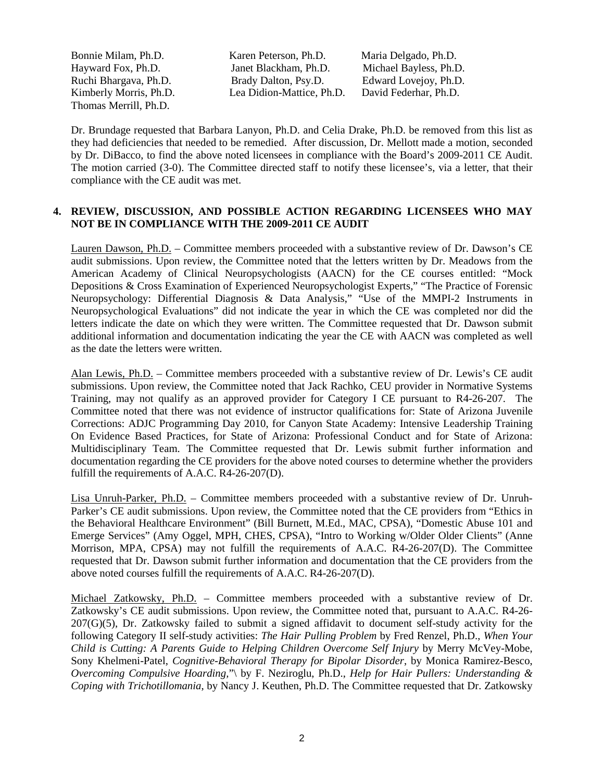Thomas Merrill, Ph.D.

Bonnie Milam, Ph.D. Karen Peterson, Ph.D. Maria Delgado, Ph.D. Hayward Fox, Ph.D. Janet Blackham, Ph.D. Michael Bayless, Ph.D. Ruchi Bhargava, Ph.D. Brady Dalton, Psy.D. Edward Lovejoy, Ph.D. Kimberly Morris, Ph.D. Lea Didion-Mattice, Ph.D. David Federhar, Ph.D.

Dr. Brundage requested that Barbara Lanyon, Ph.D. and Celia Drake, Ph.D. be removed from this list as they had deficiencies that needed to be remedied. After discussion, Dr. Mellott made a motion, seconded by Dr. DiBacco, to find the above noted licensees in compliance with the Board's 2009-2011 CE Audit. The motion carried (3-0). The Committee directed staff to notify these licensee's, via a letter, that their compliance with the CE audit was met.

### **4. REVIEW, DISCUSSION, AND POSSIBLE ACTION REGARDING LICENSEES WHO MAY NOT BE IN COMPLIANCE WITH THE 2009-2011 CE AUDIT**

Lauren Dawson, Ph.D. – Committee members proceeded with a substantive review of Dr. Dawson's CE audit submissions. Upon review, the Committee noted that the letters written by Dr. Meadows from the American Academy of Clinical Neuropsychologists (AACN) for the CE courses entitled: "Mock Depositions & Cross Examination of Experienced Neuropsychologist Experts," "The Practice of Forensic Neuropsychology: Differential Diagnosis & Data Analysis," "Use of the MMPI-2 Instruments in Neuropsychological Evaluations" did not indicate the year in which the CE was completed nor did the letters indicate the date on which they were written. The Committee requested that Dr. Dawson submit additional information and documentation indicating the year the CE with AACN was completed as well as the date the letters were written.

Alan Lewis, Ph.D. – Committee members proceeded with a substantive review of Dr. Lewis's CE audit submissions. Upon review, the Committee noted that Jack Rachko, CEU provider in Normative Systems Training, may not qualify as an approved provider for Category I CE pursuant to R4-26-207. The Committee noted that there was not evidence of instructor qualifications for: State of Arizona Juvenile Corrections: ADJC Programming Day 2010, for Canyon State Academy: Intensive Leadership Training On Evidence Based Practices, for State of Arizona: Professional Conduct and for State of Arizona: Multidisciplinary Team. The Committee requested that Dr. Lewis submit further information and documentation regarding the CE providers for the above noted courses to determine whether the providers fulfill the requirements of A.A.C. R4-26-207(D).

Lisa Unruh-Parker, Ph.D. – Committee members proceeded with a substantive review of Dr. Unruh-Parker's CE audit submissions. Upon review, the Committee noted that the CE providers from "Ethics in the Behavioral Healthcare Environment" (Bill Burnett, M.Ed., MAC, CPSA), "Domestic Abuse 101 and Emerge Services" (Amy Oggel, MPH, CHES, CPSA), "Intro to Working w/Older Older Clients" (Anne Morrison, MPA, CPSA) may not fulfill the requirements of A.A.C. R4-26-207(D). The Committee requested that Dr. Dawson submit further information and documentation that the CE providers from the above noted courses fulfill the requirements of A.A.C. R4-26-207(D).

Michael Zatkowsky, Ph.D. – Committee members proceeded with a substantive review of Dr. Zatkowsky's CE audit submissions. Upon review, the Committee noted that, pursuant to A.A.C. R4-26- 207(G)(5), Dr. Zatkowsky failed to submit a signed affidavit to document self-study activity for the following Category II self-study activities: *The Hair Pulling Problem* by Fred Renzel, Ph.D., *When Your Child is Cutting: A Parents Guide to Helping Children Overcome Self Injury* by Merry McVey-Mobe, Sony Khelmeni-Patel, *Cognitive-Behavioral Therapy for Bipolar Disorder*, by Monica Ramirez-Besco, *Overcoming Compulsive Hoarding,*"\ by F. Neziroglu, Ph.D., *Help for Hair Pullers: Understanding & Coping with Trichotillomania*, by Nancy J. Keuthen, Ph.D. The Committee requested that Dr. Zatkowsky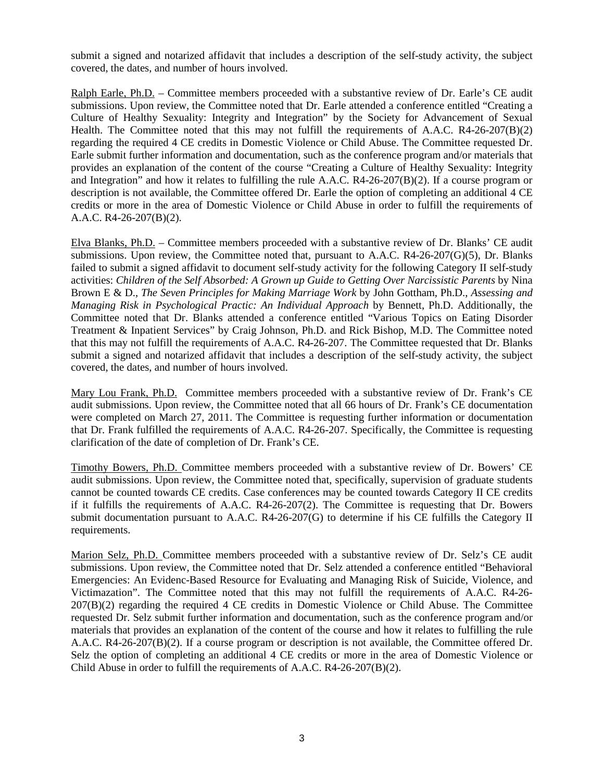submit a signed and notarized affidavit that includes a description of the self-study activity, the subject covered, the dates, and number of hours involved.

Ralph Earle, Ph.D. – Committee members proceeded with a substantive review of Dr. Earle's CE audit submissions. Upon review, the Committee noted that Dr. Earle attended a conference entitled "Creating a Culture of Healthy Sexuality: Integrity and Integration" by the Society for Advancement of Sexual Health. The Committee noted that this may not fulfill the requirements of A.A.C. R4-26-207(B)(2) regarding the required 4 CE credits in Domestic Violence or Child Abuse. The Committee requested Dr. Earle submit further information and documentation, such as the conference program and/or materials that provides an explanation of the content of the course "Creating a Culture of Healthy Sexuality: Integrity and Integration" and how it relates to fulfilling the rule A.A.C. R4-26-207(B)(2). If a course program or description is not available, the Committee offered Dr. Earle the option of completing an additional 4 CE credits or more in the area of Domestic Violence or Child Abuse in order to fulfill the requirements of A.A.C. R4-26-207(B)(2).

Elva Blanks, Ph.D. – Committee members proceeded with a substantive review of Dr. Blanks' CE audit submissions. Upon review, the Committee noted that, pursuant to A.A.C. R4-26-207(G)(5), Dr. Blanks failed to submit a signed affidavit to document self-study activity for the following Category II self-study activities: *Children of the Self Absorbed: A Grown up Guide to Getting Over Narcissistic Parents* by Nina Brown E & D., *The Seven Principles for Making Marriage Work* by John Gottham, Ph.D., *Assessing and Managing Risk in Psychological Practic: An Individual Approach* by Bennett, Ph.D. Additionally, the Committee noted that Dr. Blanks attended a conference entitled "Various Topics on Eating Disorder Treatment & Inpatient Services" by Craig Johnson, Ph.D. and Rick Bishop, M.D. The Committee noted that this may not fulfill the requirements of A.A.C. R4-26-207. The Committee requested that Dr. Blanks submit a signed and notarized affidavit that includes a description of the self-study activity, the subject covered, the dates, and number of hours involved.

Mary Lou Frank, Ph.D. Committee members proceeded with a substantive review of Dr. Frank's CE audit submissions. Upon review, the Committee noted that all 66 hours of Dr. Frank's CE documentation were completed on March 27, 2011. The Committee is requesting further information or documentation that Dr. Frank fulfilled the requirements of A.A.C. R4-26-207. Specifically, the Committee is requesting clarification of the date of completion of Dr. Frank's CE.

Timothy Bowers, Ph.D. Committee members proceeded with a substantive review of Dr. Bowers' CE audit submissions. Upon review, the Committee noted that, specifically, supervision of graduate students cannot be counted towards CE credits. Case conferences may be counted towards Category II CE credits if it fulfills the requirements of A.A.C. R4-26-207(2). The Committee is requesting that Dr. Bowers submit documentation pursuant to A.A.C. R4-26-207(G) to determine if his CE fulfills the Category II requirements.

Marion Selz, Ph.D. Committee members proceeded with a substantive review of Dr. Selz's CE audit submissions. Upon review, the Committee noted that Dr. Selz attended a conference entitled "Behavioral Emergencies: An Evidenc-Based Resource for Evaluating and Managing Risk of Suicide, Violence, and Victimazation". The Committee noted that this may not fulfill the requirements of A.A.C. R4-26- 207(B)(2) regarding the required 4 CE credits in Domestic Violence or Child Abuse. The Committee requested Dr. Selz submit further information and documentation, such as the conference program and/or materials that provides an explanation of the content of the course and how it relates to fulfilling the rule A.A.C. R4-26-207(B)(2). If a course program or description is not available, the Committee offered Dr. Selz the option of completing an additional 4 CE credits or more in the area of Domestic Violence or Child Abuse in order to fulfill the requirements of A.A.C. R4-26-207(B)(2).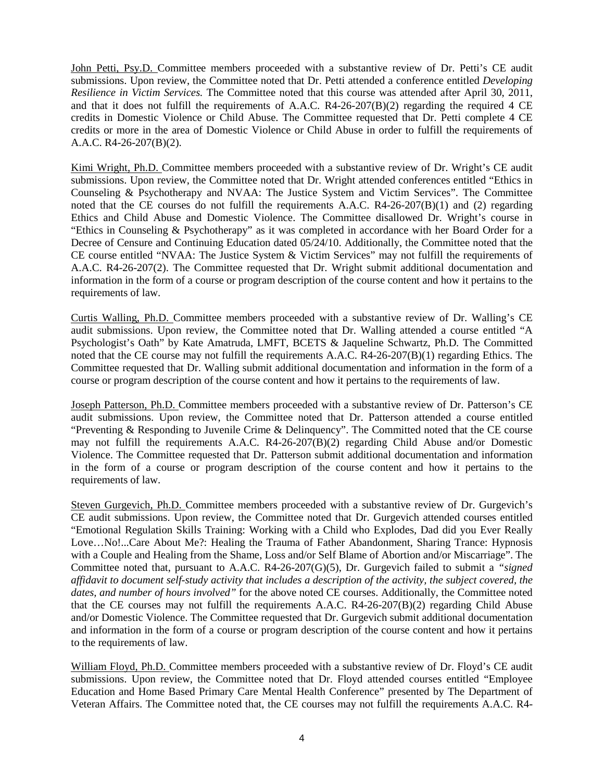John Petti, Psy.D. Committee members proceeded with a substantive review of Dr. Petti's CE audit submissions. Upon review, the Committee noted that Dr. Petti attended a conference entitled *Developing Resilience in Victim Services.* The Committee noted that this course was attended after April 30, 2011, and that it does not fulfill the requirements of A.A.C. R4-26-207(B)(2) regarding the required 4 CE credits in Domestic Violence or Child Abuse. The Committee requested that Dr. Petti complete 4 CE credits or more in the area of Domestic Violence or Child Abuse in order to fulfill the requirements of A.A.C. R4-26-207(B)(2).

Kimi Wright, Ph.D. Committee members proceeded with a substantive review of Dr. Wright's CE audit submissions. Upon review, the Committee noted that Dr. Wright attended conferences entitled "Ethics in Counseling & Psychotherapy and NVAA: The Justice System and Victim Services". The Committee noted that the CE courses do not fulfill the requirements A.A.C.  $R4-26-207(B)(1)$  and (2) regarding Ethics and Child Abuse and Domestic Violence. The Committee disallowed Dr. Wright's course in "Ethics in Counseling & Psychotherapy" as it was completed in accordance with her Board Order for a Decree of Censure and Continuing Education dated 05/24/10. Additionally, the Committee noted that the CE course entitled "NVAA: The Justice System & Victim Services" may not fulfill the requirements of A.A.C. R4-26-207(2). The Committee requested that Dr. Wright submit additional documentation and information in the form of a course or program description of the course content and how it pertains to the requirements of law.

Curtis Walling, Ph.D. Committee members proceeded with a substantive review of Dr. Walling's CE audit submissions. Upon review, the Committee noted that Dr. Walling attended a course entitled "A Psychologist's Oath" by Kate Amatruda*,* LMFT, BCETS & Jaqueline Schwartz, Ph.D*.* The Committed noted that the CE course may not fulfill the requirements A.A.C. R4-26-207(B)(1) regarding Ethics. The Committee requested that Dr. Walling submit additional documentation and information in the form of a course or program description of the course content and how it pertains to the requirements of law.

Joseph Patterson, Ph.D. Committee members proceeded with a substantive review of Dr. Patterson's CE audit submissions. Upon review, the Committee noted that Dr. Patterson attended a course entitled "Preventing & Responding to Juvenile Crime & Delinquency". The Committed noted that the CE course may not fulfill the requirements A.A.C. R4-26-207(B)(2) regarding Child Abuse and/or Domestic Violence. The Committee requested that Dr. Patterson submit additional documentation and information in the form of a course or program description of the course content and how it pertains to the requirements of law.

Steven Gurgevich, Ph.D. Committee members proceeded with a substantive review of Dr. Gurgevich's CE audit submissions. Upon review, the Committee noted that Dr. Gurgevich attended courses entitled "Emotional Regulation Skills Training: Working with a Child who Explodes, Dad did you Ever Really Love…No!...Care About Me?: Healing the Trauma of Father Abandonment, Sharing Trance: Hypnosis with a Couple and Healing from the Shame, Loss and/or Self Blame of Abortion and/or Miscarriage". The Committee noted that, pursuant to A.A.C. R4-26-207(G)(5), Dr. Gurgevich failed to submit a *"signed affidavit to document self-study activity that includes a description of the activity, the subject covered, the dates, and number of hours involved"* for the above noted CE courses. Additionally, the Committee noted that the CE courses may not fulfill the requirements A.A.C. R4-26-207(B)(2) regarding Child Abuse and/or Domestic Violence. The Committee requested that Dr. Gurgevich submit additional documentation and information in the form of a course or program description of the course content and how it pertains to the requirements of law.

William Floyd, Ph.D. Committee members proceeded with a substantive review of Dr. Floyd's CE audit submissions. Upon review, the Committee noted that Dr. Floyd attended courses entitled "Employee Education and Home Based Primary Care Mental Health Conference" presented by The Department of Veteran Affairs. The Committee noted that, the CE courses may not fulfill the requirements A.A.C. R4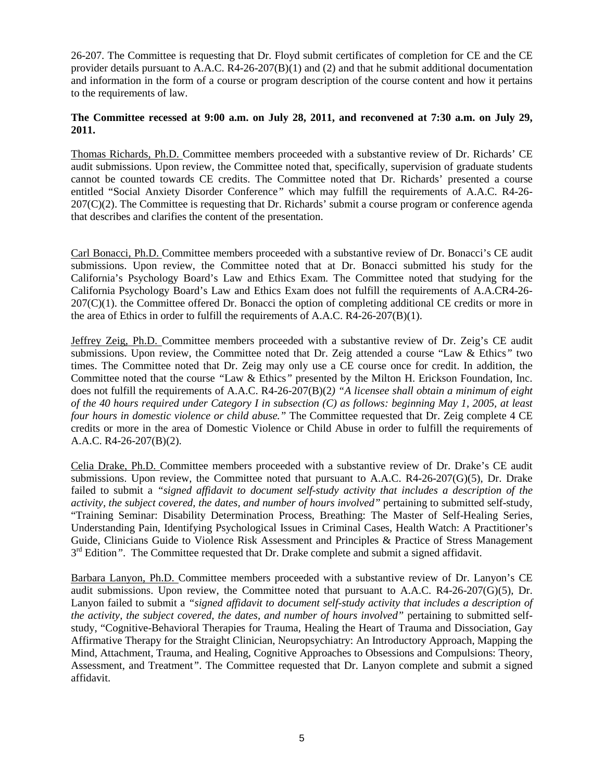26-207. The Committee is requesting that Dr. Floyd submit certificates of completion for CE and the CE provider details pursuant to A.A.C.  $R4-26-207(B)(1)$  and (2) and that he submit additional documentation and information in the form of a course or program description of the course content and how it pertains to the requirements of law.

### **The Committee recessed at 9:00 a.m. on July 28, 2011, and reconvened at 7:30 a.m. on July 29, 2011.**

Thomas Richards, Ph.D. Committee members proceeded with a substantive review of Dr. Richards' CE audit submissions. Upon review, the Committee noted that, specifically, supervision of graduate students cannot be counted towards CE credits. The Committee noted that Dr. Richards' presented a course entitled "Social Anxiety Disorder Conference*"* which may fulfill the requirements of A.A.C. R4-26- 207(C)(2). The Committee is requesting that Dr. Richards' submit a course program or conference agenda that describes and clarifies the content of the presentation.

Carl Bonacci, Ph.D. Committee members proceeded with a substantive review of Dr. Bonacci's CE audit submissions. Upon review, the Committee noted that at Dr. Bonacci submitted his study for the California's Psychology Board's Law and Ethics Exam. The Committee noted that studying for the California Psychology Board's Law and Ethics Exam does not fulfill the requirements of A.A.CR4-26-  $207(C)(1)$ . the Committee offered Dr. Bonacci the option of completing additional CE credits or more in the area of Ethics in order to fulfill the requirements of A.A.C. R4-26-207(B)(1).

Jeffrey Zeig, Ph.D. Committee members proceeded with a substantive review of Dr. Zeig's CE audit submissions. Upon review, the Committee noted that Dr. Zeig attended a course "Law & Ethics*"* two times. The Committee noted that Dr. Zeig may only use a CE course once for credit. In addition, the Committee noted that the course *"*Law & Ethics*"* presented by the Milton H. Erickson Foundation, Inc. does not fulfill the requirements of A.A.C. R4-26-207(B)(2*) "A licensee shall obtain a minimum of eight of the 40 hours required under Category I in subsection (C) as follows: beginning May 1, 2005, at least four hours in domestic violence or child abuse."* The Committee requested that Dr. Zeig complete 4 CE credits or more in the area of Domestic Violence or Child Abuse in order to fulfill the requirements of A.A.C. R4-26-207(B)(2).

Celia Drake, Ph.D. Committee members proceeded with a substantive review of Dr. Drake's CE audit submissions. Upon review, the Committee noted that pursuant to A.A.C. R4-26-207(G)(5), Dr. Drake failed to submit a *"signed affidavit to document self-study activity that includes a description of the activity, the subject covered, the dates, and number of hours involved"* pertaining to submitted self-study, "Training Seminar: Disability Determination Process, Breathing: The Master of Self-Healing Series, Understanding Pain, Identifying Psychological Issues in Criminal Cases, Health Watch: A Practitioner's Guide, Clinicians Guide to Violence Risk Assessment and Principles & Practice of Stress Management  $3<sup>rd</sup>$  Edition<sup>n</sup>. The Committee requested that Dr. Drake complete and submit a signed affidavit.

Barbara Lanyon, Ph.D. Committee members proceeded with a substantive review of Dr. Lanyon's CE audit submissions. Upon review, the Committee noted that pursuant to A.A.C. R4-26-207(G)(5), Dr. Lanyon failed to submit a *"signed affidavit to document self-study activity that includes a description of the activity, the subject covered, the dates, and number of hours involved"* pertaining to submitted selfstudy, "Cognitive-Behavioral Therapies for Trauma, Healing the Heart of Trauma and Dissociation, Gay Affirmative Therapy for the Straight Clinician, Neuropsychiatry: An Introductory Approach, Mapping the Mind, Attachment, Trauma, and Healing, Cognitive Approaches to Obsessions and Compulsions: Theory, Assessment, and Treatment*"*. The Committee requested that Dr. Lanyon complete and submit a signed affidavit.